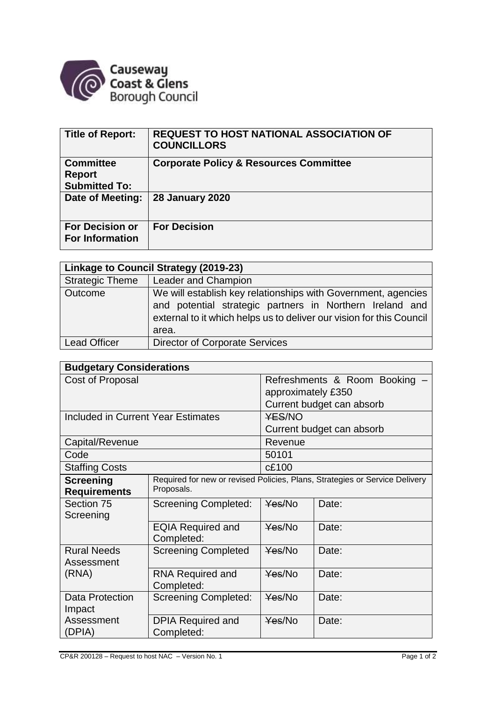

| Title of Report:                                          | <b>REQUEST TO HOST NATIONAL ASSOCIATION OF</b><br><b>COUNCILLORS</b> |
|-----------------------------------------------------------|----------------------------------------------------------------------|
| <b>Committee</b><br><b>Report</b><br><b>Submitted To:</b> | <b>Corporate Policy &amp; Resources Committee</b>                    |
| Date of Meeting:                                          | <b>28 January 2020</b>                                               |
| <b>For Decision or</b><br><b>For Information</b>          | <b>For Decision</b>                                                  |

| Linkage to Council Strategy (2019-23) |                                                                                                                                                                                                            |  |  |  |
|---------------------------------------|------------------------------------------------------------------------------------------------------------------------------------------------------------------------------------------------------------|--|--|--|
| <b>Strategic Theme</b>                | <b>Leader and Champion</b>                                                                                                                                                                                 |  |  |  |
| Outcome                               | We will establish key relationships with Government, agencies<br>and potential strategic partners in Northern Ireland and<br>external to it which helps us to deliver our vision for this Council<br>area. |  |  |  |
| <b>Lead Officer</b>                   | <b>Director of Corporate Services</b>                                                                                                                                                                      |  |  |  |

| <b>Budgetary Considerations</b>    |                                                                             |                             |       |  |  |
|------------------------------------|-----------------------------------------------------------------------------|-----------------------------|-------|--|--|
| Cost of Proposal                   |                                                                             | Refreshments & Room Booking |       |  |  |
|                                    |                                                                             | approximately £350          |       |  |  |
|                                    |                                                                             | Current budget can absorb   |       |  |  |
| Included in Current Year Estimates |                                                                             | <b>YES/NO</b>               |       |  |  |
|                                    |                                                                             | Current budget can absorb   |       |  |  |
| Capital/Revenue                    |                                                                             | Revenue                     |       |  |  |
| Code                               |                                                                             | 50101                       |       |  |  |
| <b>Staffing Costs</b>              |                                                                             | c£100                       |       |  |  |
| <b>Screening</b>                   | Required for new or revised Policies, Plans, Strategies or Service Delivery |                             |       |  |  |
| <b>Requirements</b>                | Proposals.                                                                  |                             |       |  |  |
| Section 75                         | <b>Screening Completed:</b>                                                 | Yes/No                      | Date: |  |  |
| Screening                          |                                                                             |                             |       |  |  |
|                                    | <b>EQIA Required and</b>                                                    | $\frac{Y}{BS}$ /No          | Date: |  |  |
|                                    | Completed:                                                                  |                             |       |  |  |
| <b>Rural Needs</b>                 | <b>Screening Completed</b>                                                  | Yes/No                      | Date: |  |  |
| Assessment                         |                                                                             |                             |       |  |  |
| (RNA)                              | <b>RNA Required and</b>                                                     | Yes/No                      | Date: |  |  |
|                                    | Completed:                                                                  |                             |       |  |  |
| <b>Data Protection</b>             | <b>Screening Completed:</b>                                                 | Yes/No                      | Date: |  |  |
| Impact<br>Assessment               |                                                                             | Yes/No                      | Date: |  |  |
| (DPIA)                             | <b>DPIA Required and</b><br>Completed:                                      |                             |       |  |  |
|                                    |                                                                             |                             |       |  |  |